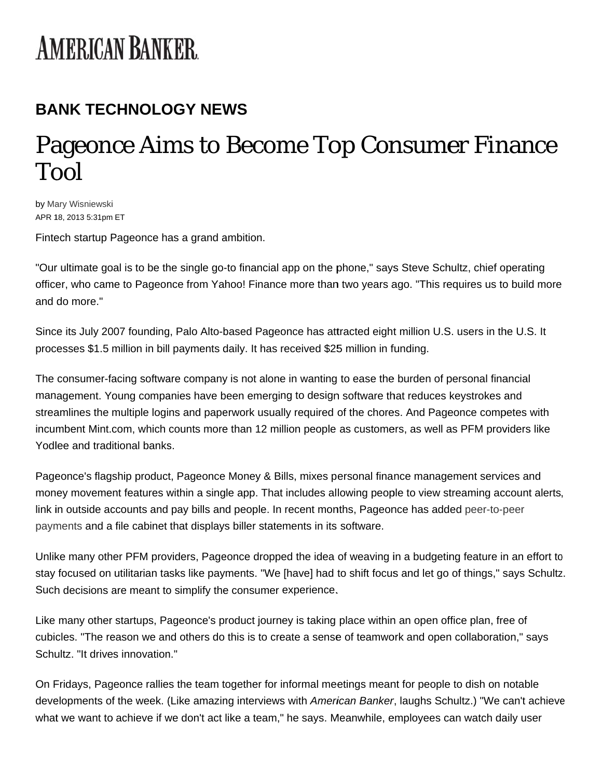## **AMERICAN BANKER**

## **BANK TECHNOLOGY NEWS**

## **Pageonce Aims to Become Top Consumer Finance** Tool

by Mary Wisniewski APR 18, 2013 5:31pm ET

Fintech startup Pageonce has a grand ambition.

"Our ultimate goal is to be the single go-to financial app on the phone," says Steve Schultz, chief operating officer, who came to Pageonce from Yahoo! Finance more than two years ago. "This requires us to build more and do more."

Since its July 2007 founding, Palo Alto-based Pageonce has attracted eight million U.S. users in the U.S. It processes \$1.5 million in bill payments daily. It has received \$25 million in funding.

The consumer-facing software company is not alone in wanting to ease the burden of personal financial management. Young companies have been emerging to design software that reduces keystrokes and streamlines the multiple logins and paperwork usually required of the chores. And Pageonce competes with incumbent Mint.com, which counts more than 12 million people as customers, as well as PFM providers like Yodlee and traditional banks.

Pageonce's flagship product, Pageonce Money & Bills, mixes personal finance management services and money movement features within a single app. That includes allowing people to view streaming account alerts, link in outside accounts and pay bills and people. In recent months, Pageonce has added peer-to-peer payments and a file cabinet that displays biller statements in its software.

Unlike many other PFM providers, Pageonce dropped the idea of weaving in a budgeting feature in an effort to stay focused on utilitarian tasks like payments. "We [have] had to shift focus and let go of things," says Schultz. Such decisions are meant to simplify the consumer experience.

Like many other startups, Pageonce's product journey is taking place within an open office plan, free of cubicles. "The reason we and others do this is to create a sense of teamwork and open collaboration," says Schultz. "It drives innovation."

On Fridays, Pageonce rallies the team together for informal meetings meant for people to dish on notable developments of the week. (Like amazing interviews with American Banker, laughs Schultz.) "We can't achieve what we want to achieve if we don't act like a team," he says. Meanwhile, employees can watch daily user